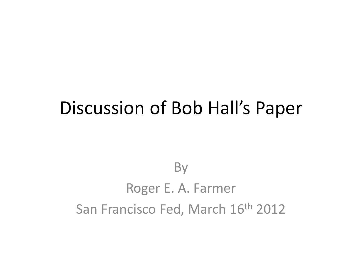#### Discussion of Bob Hall's Paper

#### **By** Roger E. A. Farmer San Francisco Fed, March 16<sup>th</sup> 2012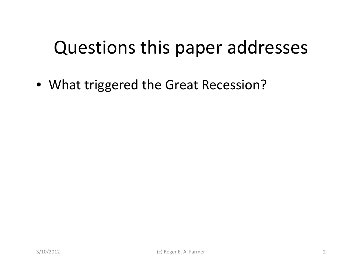## Questions this paper addresses

• What triggered the Great Recession?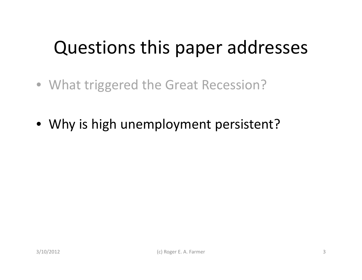## Questions this paper addresses

- What triggered the Great Recession?
- Why is high unemployment persistent?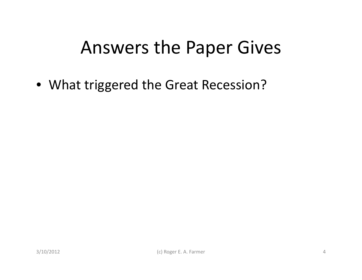• What triggered the Great Recession?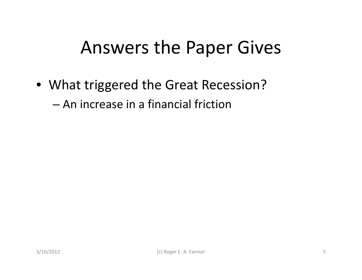• What triggered the Great Recession?

– An increase in <sup>a</sup> financial friction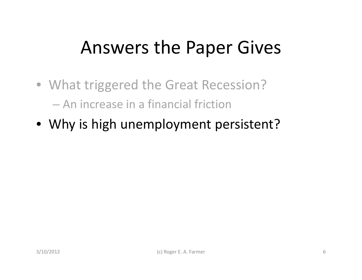- What triggered the Great Recession? – An increase in <sup>a</sup> financial friction
- Why is high unemployment persistent?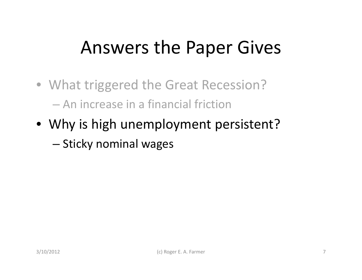- What triggered the Great Recession? – An increase in <sup>a</sup> financial friction
- Why is high unemployment persistent?

–– Sticky nominal wages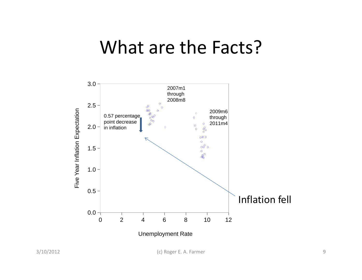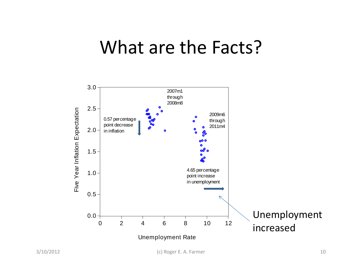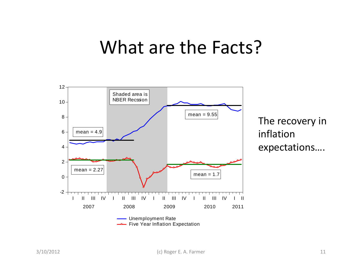

The recovery in inflation expectations….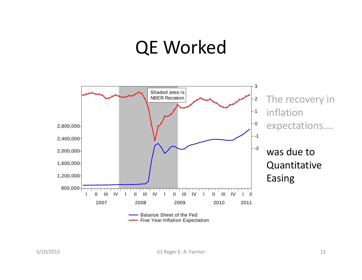#### QE Worked

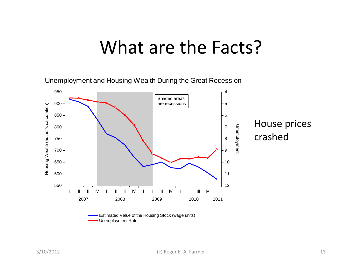Unemployment and Housing Wealth During the Great Recession

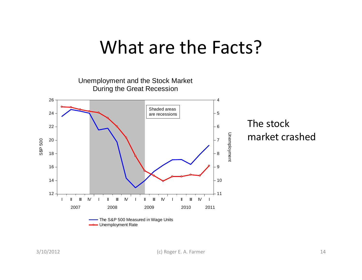Unemployment and the Stock Market During the Great Recession 24 26 4 5 Shaded areas are recessionsThe stock 18 20 22 $2 - 8$   $-8$ 7 $\frac{5}{48}$   $\frac{20}{18}$   $\frac{1}{8}$ Unemploym e ent market crashed 121416 $6 - 9$  $-10$ 11 II III IV I II III IV I II III IV I II III IV I 2007 2008 2009 2010 2011 The S&P 500 Measured in Wage Units **- Unemployment Rate**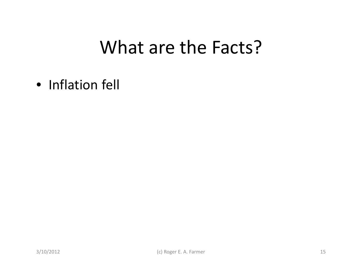• Inflation fell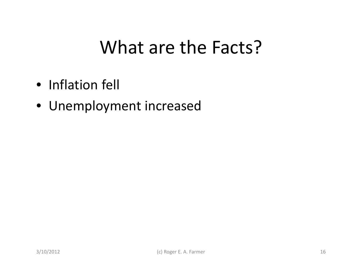- Inflation fell
- Unemployment increased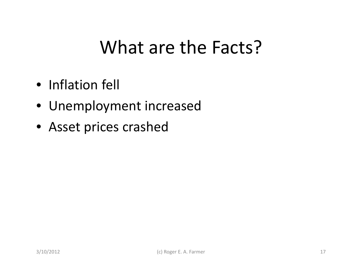- Inflation fell
- Unemployment increased
- Asset prices crashed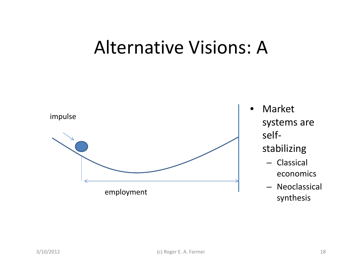#### Alternative Visions: A

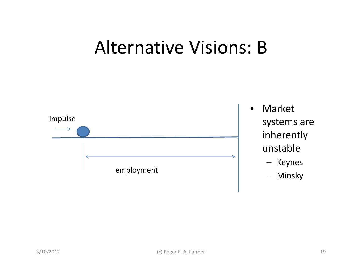#### Alternative Visions: B



- Market systems are inherently unstable
	- Keynes
	- Minsky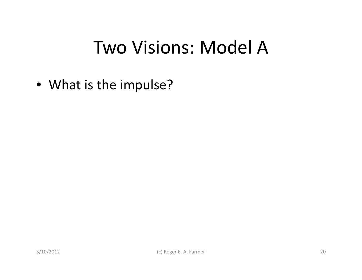• What is the impulse?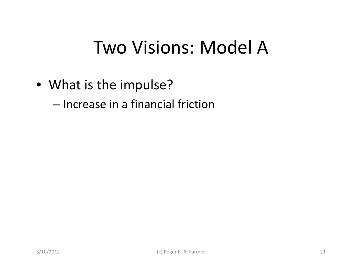• What is the impulse?

– Increase in <sup>a</sup> financial friction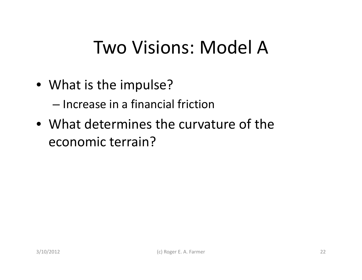• What is the impulse?

– Increase in <sup>a</sup> financial friction

• What determines the curvature of the economic terrain?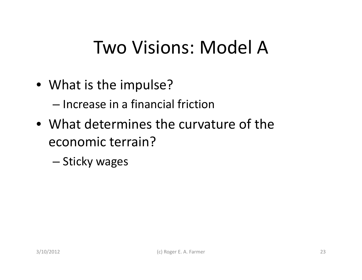• What is the impulse?

– Increase in <sup>a</sup> financial friction

• What determines the curvature of the economic terrain?

– Sticky wages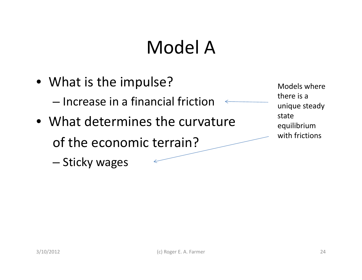### Model A

• What is the impulse? Models where – Increase in <sup>a</sup> financial friction • What determines the curvature of the economic terrain?

there is a unique steady stateequilibrium with frictions

–

k

– Sticky wages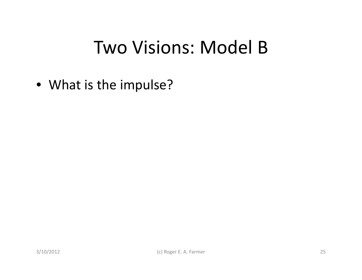• What is the impulse?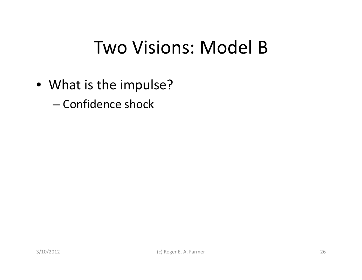- What is the impulse?
	- Confidence shock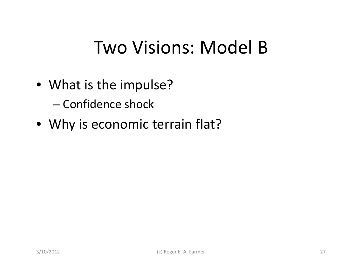- What is the impulse?
	- Confidence shock
- Why is economic terrain flat?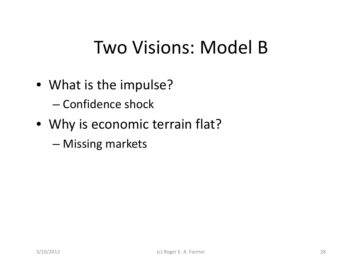- What is the impulse?
	- Confidence shock
- Why is economic terrain flat?
	- –Missing markets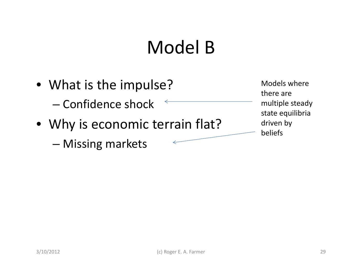### Model B

- What is the impulse? Models where – Confidence shock
- Why is economic terrain flat?

–Missing markets

there are multiple steady state equilibria driven by beliefs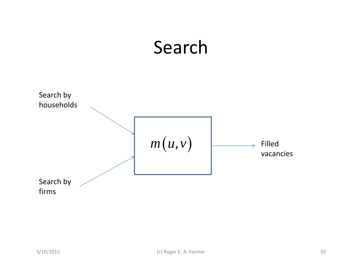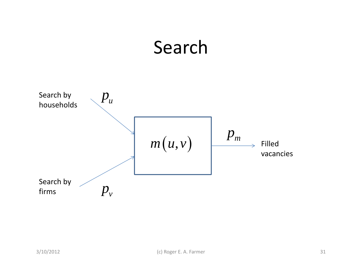### Search

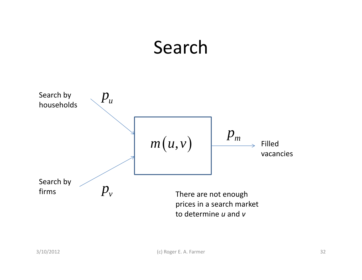### Search

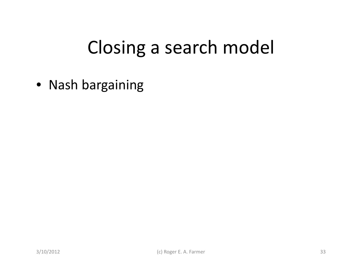• Nash bargaining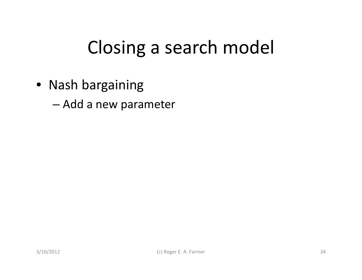• Nash bargaining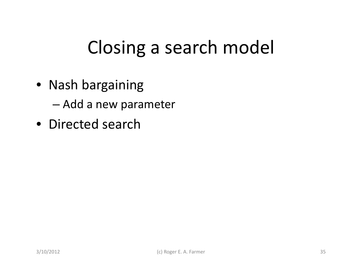• Nash bargaining

– Add <sup>a</sup> new parameter

• Directed search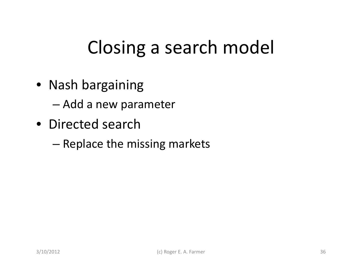• Nash bargaining

- Directed search
	- –– Replace the missing markets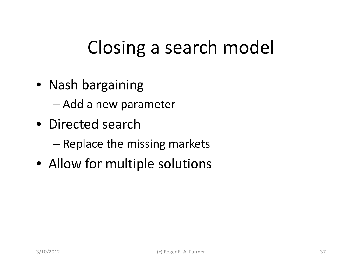• Nash bargaining

- Directed search
	- –– Replace the missing markets
- Allow for multiple solutions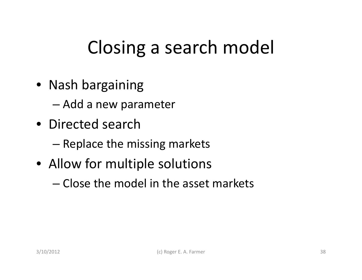• Nash bargaining

- Directed search
	- –– Replace the missing markets
- Allow for multiple solutions
	- Close the model in the asset markets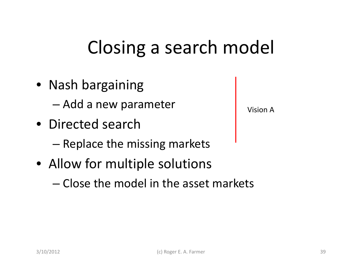• Nash bargaining

– Add <sup>a</sup> new parameter

- Directed search
	- –– Replace the missing markets
- Allow for multiple solutions
	- Close the model in the asset markets

Vision A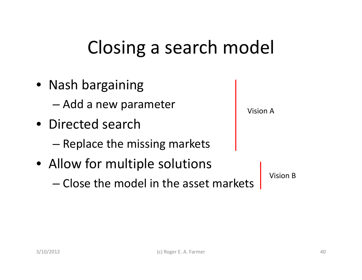- Nash bargaining – Add <sup>a</sup> new parameter • Directed search Vision A–– Replace the missing markets • Allow for multiple solutions
	- Close the model in the asset markets

Vision B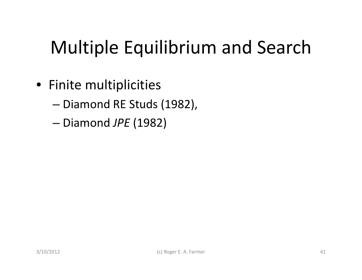# Multiple Equilibrium and Search

- Finite multiplicities
	- –— Diamond RE Studs (1982),
	- –Diamond *JPE* (1982)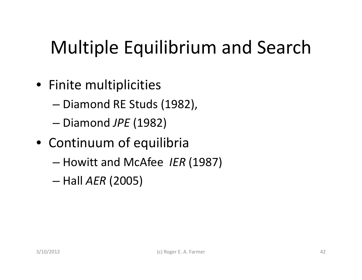# Multiple Equilibrium and Search

- Finite multiplicities
	- –— Diamond RE Studs (1982),
	- –Diamond *JPE* (1982)
- Continuum of equilibria
	- –- Howitt and McAfee *IER* (1987)
	- –Hall *AER* (2005)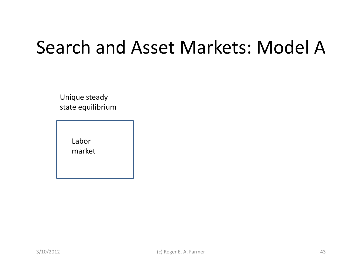### Search and Asset Markets: Model A

Unique steady state equilibrium

> Labor market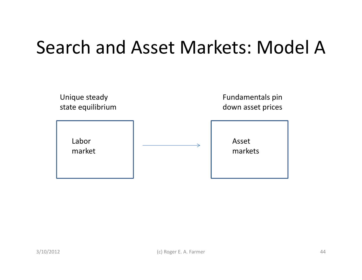#### Search and Asset Markets: Model A

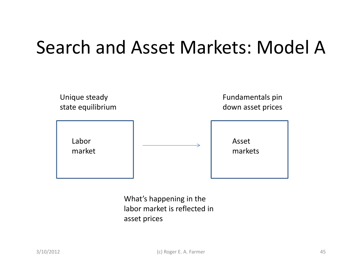### Search and Asset Markets: Model A



What's happening in the labor market is reflected in asset prices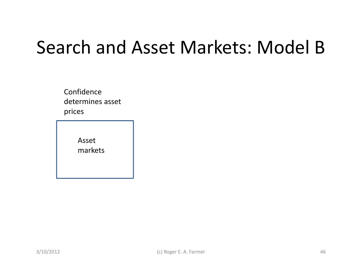### Search and Asset Markets: Model B

Confidencedetermines asset prices

> Assetmarkets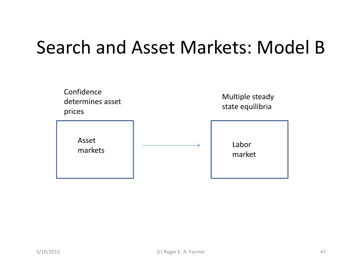#### Search and Asset Markets: Model B

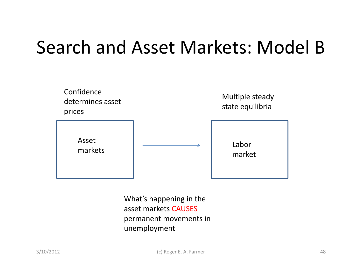### Search and Asset Markets: Model B



What's happening in the asset markets CAUSES permanent movements in unemployment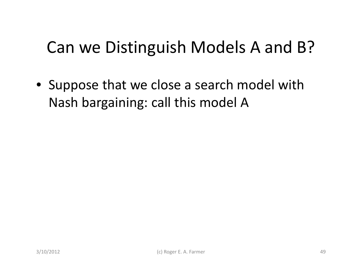#### Can we Distinguish Models A and B?

• Suppose that we close <sup>a</sup> search model with Nash bargaining: call this model A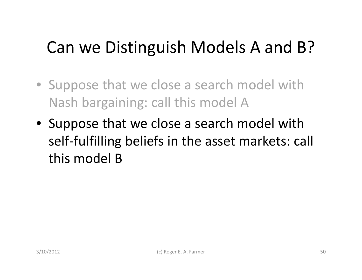#### Can we Distinguish Models A and B?

- Suppose that we close <sup>a</sup> search model with Nash bargaining: call this model A
- Suppose that we close <sup>a</sup> search model with self‐fulfilling beliefs in the asset markets: call this model B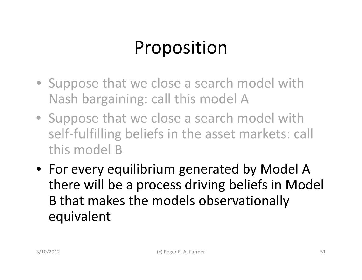# Proposition

- Suppose that we close <sup>a</sup> search model with Nash bargaining: call this model A
- Suppose that we close <sup>a</sup> search model with self-fulfilling beliefs in the asset markets: call this model B
- For every equilibrium generated by Model A there will be <sup>a</sup> process driving beliefs in Model B that makes the models observationally equivalent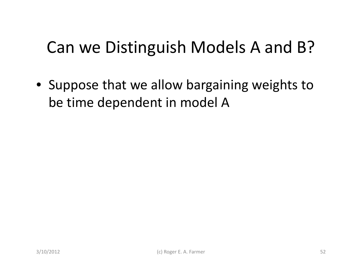#### Can we Distinguish Models A and B?

• Suppose that we allow bargaining weights to be time dependent in model A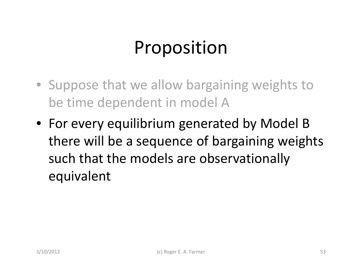## Proposition

- Suppose that we allow bargaining weights to be time dependent in model A
- For every equilibrium generated by Model B there will be <sup>a</sup> sequence of bargaining weights such that the models are observationally equivalent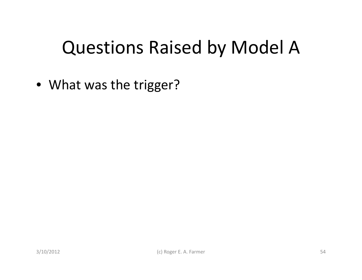• What was the trigger?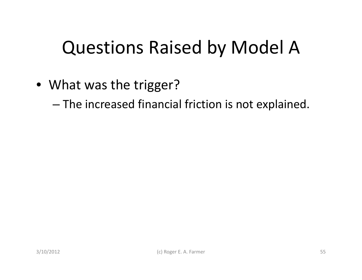• What was the trigger?

–The increased financial friction is not explained.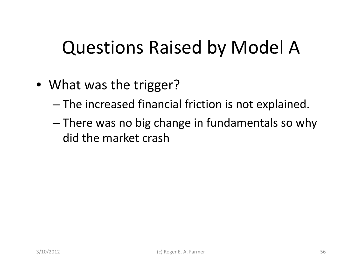- What was the trigger?
	- –The increased financial friction is not explained.
	- – There was no big change in fundamentals so why did the market crash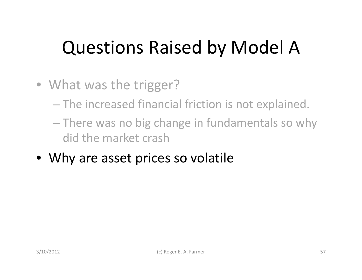- What was the trigger?
	- The increased financial friction is not explained.
	- There was no big change in fundamentals so why did the market crash
- Why are asset prices so volatile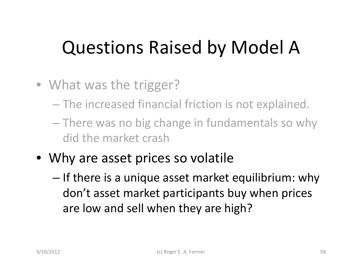- What was the trigger?
	- The increased financial friction is not explained.
	- There was no big change in fundamentals so why did the market crash
- Why are asset prices so volatile
	- – $-$  If there is a unique asset market equilibrium: why don't asset market participants buy when prices are low and sell when they are high?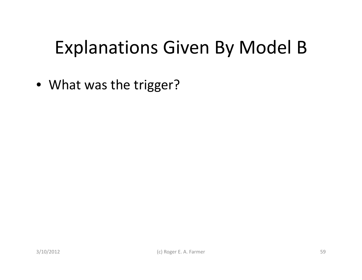• What was the trigger?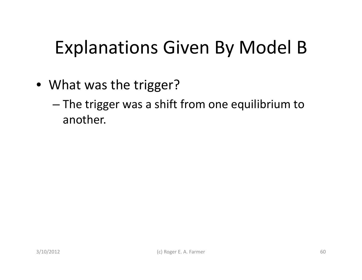- What was the trigger?
	- – The trigger was <sup>a</sup> shift from one equilibrium to another.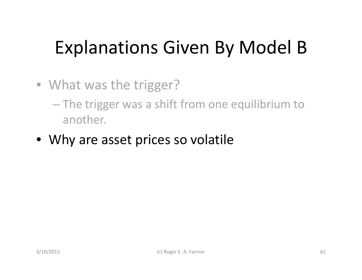- What was the trigger?
	- The trigger was <sup>a</sup> shift from one equilibrium to another.
- Why are asset prices so volatile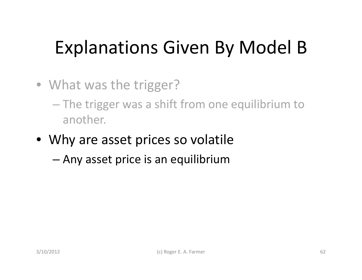- What was the trigger?
	- The trigger was <sup>a</sup> shift from one equilibrium to another.
- Why are asset prices so volatile
	- –Any asset price is an equilibrium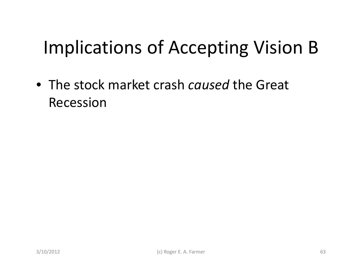# Implications of Accepting Vision B

• The stock market crash *caused* the Great Recession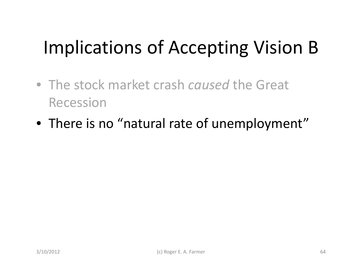# Implications of Accepting Vision B

- The stock market crash *caused* the Great Recession
- $\bullet\,$  There is no "natural rate of unemployment"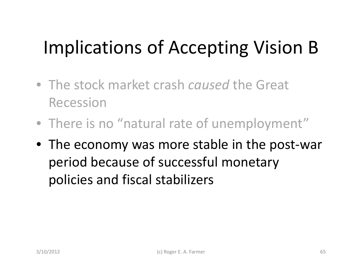# Implications of Accepting Vision B

- The stock market crash *caused* the Great Recession
- $\bullet\,$  There is no "natural rate of unemployment"
- The economy was more stable in the post‐war period because of successful monetary policies and fiscal stabilizers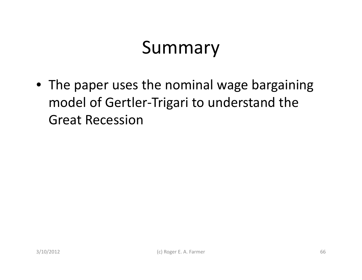• The paper uses the nominal wage bargaining model of Gertler‐Trigari to understand the Great Recession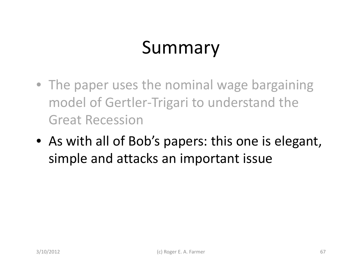- The paper uses the nominal wage bargaining model of Gertler‐Trigari to understand the Great Recession
- As with all of Bob's papers: this one is elegant, simple and attacks an important issue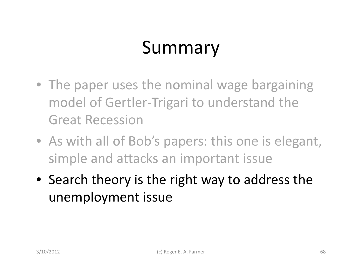- The paper uses the nominal wage bargaining model of Gertler‐Trigari to understand the Great Recession
- As with all of Bob's papers: this one is elegant, simple and attacks an important issue
- Search theory is the right way to address the unemployment issue